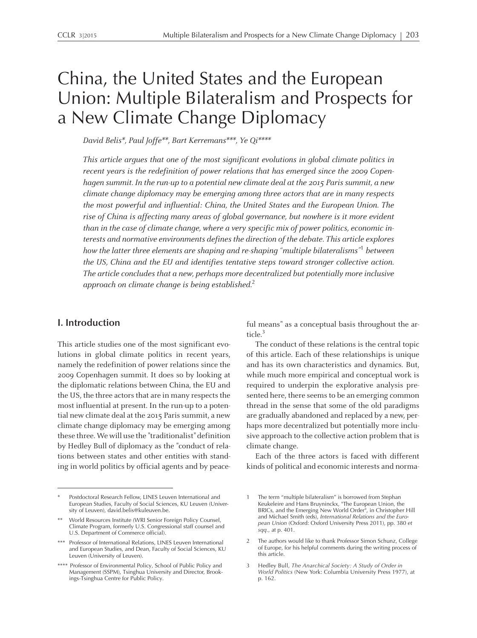# China, the United States and the European Union: Multiple Bilateralism and Prospects for <sup>a</sup> New Climate Change Diplomacy

David Belis\*, Paul Joffe\*\*, Bart Kerremans\*\*\*, Ye Qi\*\*\*\*

This article argues that one of the most significant evolutions in global climate politics in recent years is the redefinition of power relations that has emerged since the 2009 Copenhagen summit. In the run-up to a potential new climate deal at the 2015 Paris summit, a new climate change diplomacy may be emerging among three actors that are in many respects the most powerful and influential: China, the United States and the European Union. The rise of China is affecting many areas of global governance, but nowhere is it more evident than in the case of climate change, where <sup>a</sup> very specific mix of power politics, economic interests and normative environments defines the direction of the debate. This article explores how the latter three elements are shaping and re-shaping "multiple bilateralisms"<sup>1</sup> between the US, China and the EU and identifies tentative steps toward stronger collective action. The article concludes that <sup>a</sup> new, perhaps more decentralized but potentially more inclusive approach on climate change is being established. $^2$ 

# **I. Introduction**

This article studies one of the most significant evolutions in global climate politics in recent years, namely the redefinition of power relations since the 2009 Copenhagen summit. It does so by looking at the diplomatic relations between China, the EU and the US, the three actors that are in many respects the most influential at present. In the run-up to <sup>a</sup> potential new climate deal at the 2015 Parissummit, <sup>a</sup> new climate change diplomacy may be emerging among these three.We will use the "traditionalist" definition by Hedley Bull of diplomacy as the "conduct of relations between states and other entities with standing in world politics by official agents and by peaceful means" as <sup>a</sup> conceptual basis throughout the article. 3

The conduct of these relations is the central topic of this article. Each of these relationships is unique and has its own characteristics and dynamics. But, while much more empirical and conceptual work is required to underpin the explorative analysis presented here, there seems to be an emerging common thread in the sense that some of the old paradigms are gradually abandoned and replaced by <sup>a</sup> new, perhaps more decentralized but potentially more inclusive approach to the collective action problem that is climate change.

Each of the three actors is faced with different kinds of political and economic interests and norma-

Postdoctoral Research Fellow, LINES Leuven International and European Studies, Faculty of Social Sciences, KU Leuven (University of Leuven), david.belis@kuleuven.be.

<sup>\*\*</sup> World Resources Institute (WRI Senior Foreign Policy Counsel, Climate Program, formerly U.S. Congressional staff counsel and U.S. Department of Commerce official).

<sup>\*\*\*</sup> Professor of International Relations, LINES Leuven International and European Studies, and Dean, Faculty of Social Sciences, KU Leuven (University of Leuven).

<sup>\*\*\*\*</sup> Professor of Environmental Policy, School of Public Policy and Management (SSPM), Tsinghua University and Director, Brookings-Tsinghua Centre for Public Policy.

<sup>1</sup> The term "multiple bilateralism" is borrowed from Stephan Keukeleire and Hans Bruyninckx, "The European Union, the BRICs, and the Emerging New World Order", in Christopher Hill and Michael Smith (eds), *International Relations and the European Union* (Oxford: Oxford University Press 2011), pp. <sup>380</sup> *et sqq.,* at p. 401.

<sup>2</sup> The authors would like to thank Professor Simon Schunz, College of Europe, for his helpful comments during the writing process of this article.

<sup>3</sup> Hedley Bull, *The Anarchical Society: <sup>A</sup> Study of Order in World Politics* (New York: Columbia University Press 1977), at p. 162.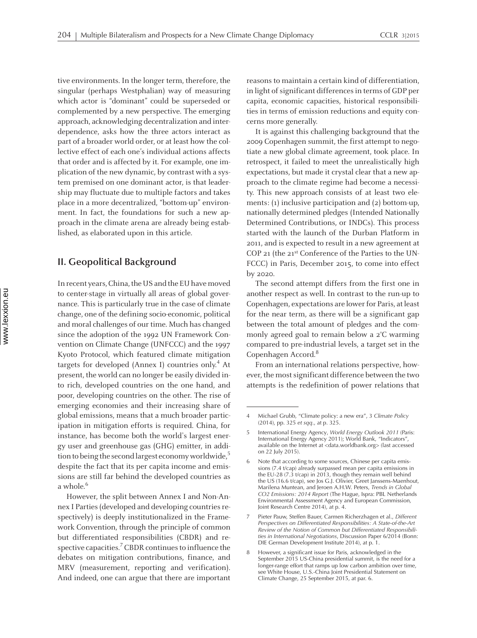tive environments. In the longer term, therefore, the singular (perhaps Westphalian) way of measuring which actor is "dominant" could be superseded or complemented by <sup>a</sup> new perspective. The emerging approach, acknowledging decentralization and interdependence, asks how the three actors interact as par<sup>t</sup> of <sup>a</sup> broader world order, or at least how the collective effect of each one's individual actions affects that order and is affected by it. For example, one implication of the new dynamic, by contrast with <sup>a</sup> system premised on one dominant actor, is that leadership may fluctuate due to multiple factors and takes place in <sup>a</sup> more decentralized, "bottom-up" environment. In fact, the foundations for such <sup>a</sup> new approach in the climate arena are already being established, as elaborated upon in this article.

## **II. Geopolitical Background**

In recent years, China, the US and the EU have moved to center-stage in virtually all areas of global governance. This is particularly true in the case of climate change, one of the defining socio-economic, political and moral challenges of our time. Much has changed since the adoption of the 1992 UN Framework Convention on Climate Change (UNFCCC) and the 1997 Kyoto Protocol, which featured climate mitigation targets for developed (Annex I) countries only. 4 At present, the world can no longer be easily divided into rich, developed countries on the one hand, and poor, developing countries on the other. The rise of emerging economies and their increasing share of global emissions, means that <sup>a</sup> much broader participation in mitigation efforts is required. China, for instance, has become both the world's largest energy user and greenhouse gas (GHG) emitter, in addition to being the second largest economy worldwide,<sup>5</sup> despite the fact that its per capita income and emissions are still far behind the developed countries as <sup>a</sup> whole. 6

However, the split between Annex <sup>I</sup> and Non-Annex I Parties (developed and developing countries respectively) is deeply institutionalized in the Framework Convention, through the principle of common but differentiated responsibilities (CBDR) and respective capacities.<sup>7</sup> CBDR continues to influence the debates on mitigation contributions, finance, and MRV (measurement, reporting and verification). And indeed, one can argue that there are important reasons to maintain a certain kind of differentiation, in light of significant differences in terms of GDP per capita, economic capacities, historical responsibilities in terms of emission reductions and equity concerns more generally.

It is against this challenging background that the 2009 Copenhagen summit, the first attempt to negotiate <sup>a</sup> new global climate agreement, took place. In retrospect, it failed to meet the unrealistically high expectations, but made it crystal clear that <sup>a</sup> new approach to the climate regime had become <sup>a</sup> necessity. This new approach consists of at least two elements: (1) inclusive participation and (2) bottom-up, nationally determined pledges (Intended Nationally Determined Contributions, or INDCs). This process started with the launch of the Durban Platform in 2011, and is expected to result in <sup>a</sup> new agreemen<sup>t</sup> at COP <sup>21</sup> (the <sup>21</sup>st Conference of the Parties to the UN-FCCC) in Paris, December 2015, to come into effect by 2020.

The second attempt differs from the first one in another respec<sup>t</sup> as well. In contrast to the run-up to Copenhagen, expectations are lower for Paris, at least for the near term, as there will be <sup>a</sup> significant gap between the total amount of pledges and the commonly agreed goal to remain below <sup>a</sup> <sup>2</sup>°C warming compared to pre-industrial levels, <sup>a</sup> target set in the Copenhagen Accord. 8 Powered by TCPDF (www.tcpdf.org)

From an international relations perspective, however, the most significant difference between the two attempts is the redefinition of power relations that

<sup>4</sup> Michael Grubb, "Climate policy: <sup>a</sup> new era", <sup>3</sup> *Climate Policy* (2014), pp. 325 *et sqq*., at p. 325.

<sup>5</sup> International Energy Agency, *World Energy Outlook <sup>2011</sup>* (Paris: International Energy Agency 2011); World Bank, *"*Indicators", available on the Internet at <data.worldbank.org> (last accessed on <sup>22</sup> July 2015).

<sup>6</sup> Note that according to some sources, Chinese per capita emissions (7.4 t/cap) already surpassed mean per capita emissions in the EU-28 (7.3 t/cap) in 2013, though they remain well behind the US (16.6 t/cap), see Jos G.J. Olivier, Greet Janssens-Maenhout, Marilena Muntean, and Jeroen A.H.W. Peters, *Trends in Global CO2 Emissions: <sup>2014</sup> Report* (The Hague, Ispra: PBL Netherlands Environmental Assessment Agency and European Commission, Joint Research Centre 2014), at p. 4.

<sup>7</sup> Pieter Pauw, Steffen Bauer, Carmen Richerzhagen et al., *Different Perspectives on Differentiated Responsibilities: <sup>A</sup> State-of-the-Art Review of the Notion of Common but Differentiated Responsibilities in International Negotiations*, Discussion Paper 6/2014 (Bonn: DIE German Development Institute 2014), at p. 1.

<sup>8</sup> However, <sup>a</sup> significant issue for Paris, acknowledged in the September <sup>2015</sup> US-China presidential summit, is the need for <sup>a</sup> longer-range effort that ramps up low carbon ambition over time, see White House, U.S.-China Joint Presidential Statement on Climate Change, <sup>25</sup> September 2015, at par. 6.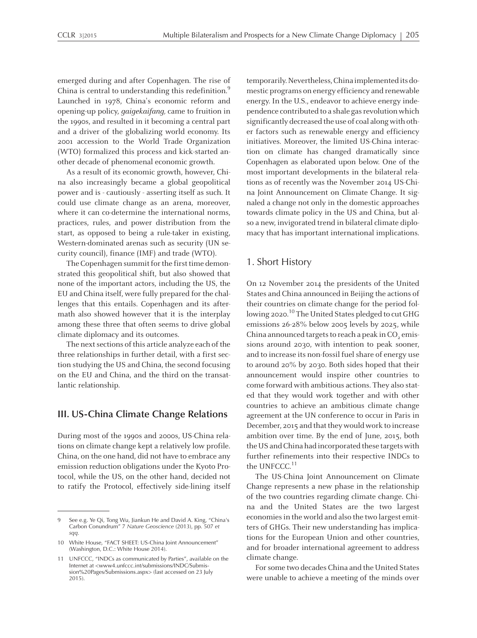emerged during and after Copenhagen. The rise of China is central to understanding this redefinition. $^9$ Launched in 1978, China's economic reform and opening-up policy, gaigekaifang, came to fruition in the 1990s, and resulted in it becoming <sup>a</sup> central par<sup>t</sup> and <sup>a</sup> driver of the globalizing world economy. Its <sup>2001</sup> accession to the World Trade Organization (WTO) formalized this process and kick-started another decade of phenomenal economic growth.

As <sup>a</sup> result of its economic growth, however, China also increasingly became <sup>a</sup> global geopolitical power and is - cautiously - asserting itself as such. It could use climate change as an arena, moreover, where it can co-determine the international norms, practices, rules, and power distribution from the start, as opposed to being <sup>a</sup> rule-taker in existing, Western-dominated arenas such as security (UN security council), finance (IMF) and trade (WTO).

The Copenhagen summit for the first time demonstrated this geopolitical shift, but also showed that none of the important actors, including the US, the EU and China itself, were fully prepared for the challenges that this entails. Copenhagen and its aftermath also showed however that it is the interplay among these three that often seems to drive global climate diplomacy and its outcomes.

The next sections of this article analyze each of the three relationships in further detail, with <sup>a</sup> first section studying the US and China, the second focusing on the EU and China, and the third on the transatlantic relationship.

## **III. US-China Climate Change Relations**

During most of the 1990s and 2000s, US-China relations on climate change kept <sup>a</sup> relatively low profile. China, on the one hand, did not have to embrace any emission reduction obligations under the Kyoto Protocol, while the US, on the other hand, decided not to ratify the Protocol, effectively side-lining itself temporarily. Nevertheless, China implemented its domestic programs on energy efficiency and renewable energy. In the U.S., endeavor to achieve energy independence contributed to a shale gas revolution which significantly decreased the use of coal along with other factors such as renewable energy and efficiency initiatives. Moreover, the limited US-China interaction on climate has changed dramatically since Copenhagen as elaborated upon below. One of the most important developments in the bilateral relations as of recently was the November 2014 US-China Joint Announcement on Climate Change. It signaled <sup>a</sup> change not only in the domestic approaches towards climate policy in the US and China, but also a new, invigorated trend in bilateral climate diplomacy that has important international implications.

## 1. Short History

On <sup>12</sup> November 2014 the presidents of the United States and China announced in Beijing the actions of their countries on climate change for the period following 2020.<sup>10</sup> The United States pledged to cut GHG emissions 26-28% below 2005 levels by 2025, while China announced targets to reach a peak in CO<sub>2</sub> emissions around 2030, with intention to peak sooner, and to increase its non-fossil fuel share of energy use to around 20% by 2030. Both sides hoped that their announcement would inspire other countries to come forward with ambitious actions. They also stated that they would work together and with other countries to achieve an ambitious climate change agreemen<sup>t</sup> at the UN conference to occur in Paris in December, 2015 and that they would work to increase ambition over time. By the end of June, 2015, both theUS andChina had incorporated these targetswith further refinements into their respective INDCs to the UNFCCC.<sup>11</sup>

The US-China Joint Announcement on Climate Change represents <sup>a</sup> new phase in the relationship of the two countries regarding climate change. China and the United States are the two largest economies in the world and also the two largest emitters of GHGs. Their new understanding has implications for the European Union and other countries, and for broader international agreemen<sup>t</sup> to address climate change.

For some two decades China and the United States were unable to achieve <sup>a</sup> meeting of the minds over

<sup>9</sup> See e.g. Ye Qi, Tong Wu, Jiankun He and David A. King, "China's Carbon Conundrum" <sup>7</sup> *Nature Geoscience* (2013), pp. <sup>507</sup> *et sqq.*

<sup>10</sup> White House, "FACT SHEET: US-China Joint Announcement" (Washington, D.C.: White House 2014).

<sup>11</sup> UNFCCC, "INDCs as communicated by Parties", available on the Internet at <www4.unfccc.int/submissions/INDC/Submission%20Pages/Submissions.aspx> (last accessed on <sup>23</sup> July 2015).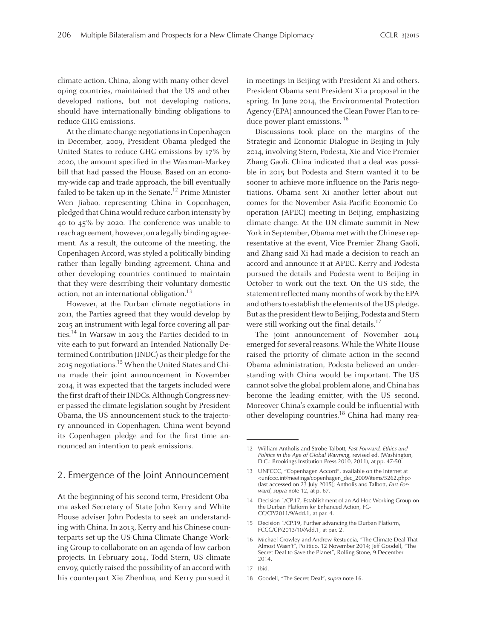climate action. China, along with many other developing countries, maintained that the US and other developed nations, but not developing nations, should have internationally binding obligations to reduce GHG emissions.

At the climate change negotiations in Copenhagen in December, 2009, President Obama pledged the United States to reduce GHG emissions by 17% by 2020, the amount specified in the Waxman-Markey bill that had passed the House. Based on an economy-wide cap and trade approach, the bill eventually failed to be taken up in the Senate. 12 Prime Minister Wen Jiabao, representing China in Copenhagen, pledged that China would reduce carbon intensity by 40 to 45% by 2020. The conference was unable to reach agreement, however, on a legally binding agreement. As <sup>a</sup> result, the outcome of the meeting, the Copenhagen Accord, was styled <sup>a</sup> politically binding rather than legally binding agreement. China and other developing countries continued to maintain that they were describing their voluntary domestic action, not an international obligation.<sup>13</sup>

However, at the Durban climate negotiations in 2011, the Parties agreed that they would develop by 2015 an instrument with legal force covering all parties. 14 In Warsaw in 2013 the Parties decided to invite each to pu<sup>t</sup> forward an Intended Nationally Determined Contribution (INDC) as their pledge for the 2015 negotiations.<sup>15</sup> When the United States and China made their joint announcement in November 2014, it was expected that the targets included were the first draft of their INDCs. Although Congress never passed the climate legislation sought by President Obama, the US announcement stuck to the trajectory announced in Copenhagen. China went beyond its Copenhagen pledge and for the first time announced an intention to peak emissions.

#### 2. Emergence of the Joint Announcement

At the beginning of his second term, President Obama asked Secretary of State John Kerry and White House adviser John Podesta to seek an understanding with China. In 2013, Kerry and his Chinese counterparts set up the US-China Climate Change Working Group to collaborate on an agenda of low carbon projects. In February 2014, Todd Stern, US climate envoy, quietly raised the possibility of an accord with his counterpart Xie Zhenhua, and Kerry pursued it in meetings in Beijing with President Xi and others. President Obama sent President Xi <sup>a</sup> proposal in the spring. In June 2014, the Environmental Protection Agency (EPA) announced the Clean Power Plan to reduce power plant emissions. 16

Discussions took place on the margins of the Strategic and Economic Dialogue in Beijing in July 2014,involving Stern, Podesta, Xie and Vice Premier Zhang Gaoli. China indicated that <sup>a</sup> deal was possible in 2015 but Podesta and Stern wanted it to be sooner to achieve more influence on the Paris negotiations. Obama sent Xi another letter about outcomes for the November Asia-Pacific Economic Cooperation (APEC) meeting in Beijing, emphasizing climate change. At the UN climate summit in New York in September, Obama met with the Chinese representative at the event, Vice Premier Zhang Gaoli, and Zhang said Xi had made <sup>a</sup> decision to reach an accord and announce it at APEC. Kerry and Podesta pursued the details and Podesta went to Beijing in October to work out the text. On the US side, the statement reflected many months of work by the EPA and others to establish the elements of the US pledge. But as the president flew to Beijing, Podesta and Stern were still working out the final details.<sup>17</sup>

The joint announcement of November 2014 emerged for several reasons. While the White House raised the priority of climate action in the second Obama administration, Podesta believed an understanding with China would be important. The US cannot solve the global problem alone, and China has become the leading emitter, with the US second. Moreover China's example could be influential with other developing countries.<sup>18</sup> China had many rea-

<sup>12</sup> William Antholis and Strobe Talbott, *Fast Forward, Ethics and Politics in the Age of Global Warming,* revised ed. (Washington, D.C.: Brookings Institution Press 2010, 2011), at pp. 47-50.

<sup>13</sup> UNFCCC, "Copenhagen Accord", available on the Internet at <unfccc.int/meetings/copenhagen\_dec\_2009/items/5262.php> (last accessed on <sup>23</sup> July 2015); Antholis and Talbott, *Fast Forward*, *supra* note 12, at p. 67.

<sup>14</sup> Decision 1/CP.17, Establishment of an Ad Hoc Working Group on the Durban Platform for Enhanced Action, FC-CC/CP/2011/9/Add.1, at par. 4.

<sup>15</sup> Decision 1/CP.19, Further advancing the Durban Platform, FCCC/CP/2013/10/Add.1, at par. 2.

<sup>16</sup> Michael Crowley and Andrew Restuccia, "The Climate Deal That Almost Wasn't", Politico, 12 November 2014; Jeff Goodell, "The Secret Deal to Save the Planet", Rolling Stone, <sup>9</sup> December 2014.

<sup>17</sup> Ibid.

<sup>18</sup> Goodell, "The Secret Deal", *supra* note 16.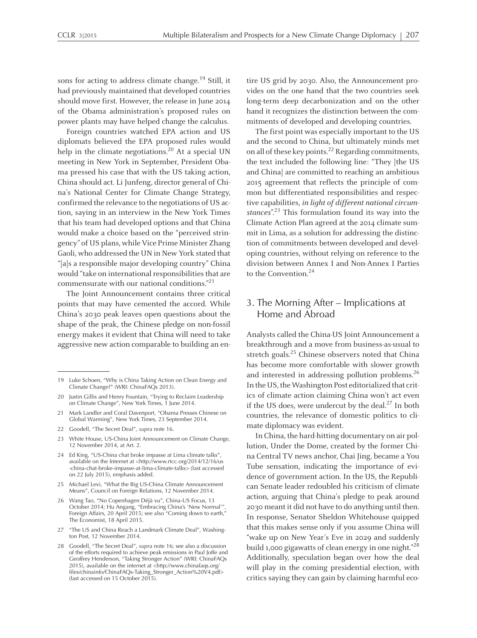sons for acting to address climate change.<sup>19</sup> Still, it had previously maintained that developed countries should move first. However, the release in June 2014 of the Obama administration's proposed rules on power plants may have helped change the calculus.

Foreign countries watched EPA action and US diplomats believed the EPA proposed rules would help in the climate negotiations.<sup>20</sup> At a special UN meeting in New York in September, President Obama pressed his case that with the US taking action, China should act. Li Junfeng, director general of China's National Center for Climate Change Strategy, confirmed the relevance to the negotiations of US action, saying in an interview in the New York Times that his team had developed options and that China would make <sup>a</sup> choice based on the "perceived stringency" of US plans, while Vice Prime Minister Zhang Gaoli, who addressed the UN in New York stated that "[a]s <sup>a</sup> responsible major developing country" China would "take on international responsibilities that are commensurate with our national conditions." 21

The Joint Announcement contains three critical points that may have cemented the accord. While China's 2030 peak leaves open questions about the shape of the peak, the Chinese pledge on non-fossil energy makes it evident that China will need to take aggressive new action comparable to building an en-

- <sup>21</sup> Mark Landler and Coral Davenport, "Obama Presses Chinese on Global Warming", New York Times, <sup>23</sup> September 2014.
- <sup>22</sup> Goodell, "The Secret Deal", *supra* note 16.
- <sup>23</sup> White House, US-China Joint Announcement on Climate Change, 12 November 2014, at Art. 2.
- <sup>24</sup> Ed King, "US-China chat broke impasse at Lima climate talks", available on the Internet at <http://www.rtcc.org/2014/12/16/us -china-chat-broke-impasse-at-lima-climate-talks> (last accessed on <sup>22</sup> July 2015), emphasis added.
- <sup>25</sup> Michael Levi, "What the Big US-China Climate Announcement Means", Council on Foreign Relations, <sup>12</sup> November 2014.
- <sup>26</sup> Wang Tao, "No Copenhagen Déjà vu", China-US Focus, <sup>13</sup> October 2014; Hu Angang, "Embracing China's 'New Normal'", Foreign Affairs, 20 April 2015; see also "Coming down to earth," The Economist, <sup>18</sup> April 2015.
- 27 "The US and China Reach a Landmark Climate Deal", Washington Post, 12 November 2014.
- <sup>28</sup> Goodell, "The Secret Deal", *supra* note 16; see also <sup>a</sup> discussion of the efforts required to achieve peak emissions in Paul Joffe and Geoffrey Henderson, "Taking Stronger Action" (WRI: ChinaFAQs 2015), available on the internet at <http://www.chinafaqs.org/ files/chinainfo/ChinaFAQs-Taking\_Stronger\_Action%20V4.pdf> (last accessed on 15 October 2015).

tire US grid by 2030. Also, the Announcement provides on the one hand that the two countries seek long-term deep decarbonization and on the other hand it recognizes the distinction between the commitments of developed and developing countries.

The first point was especially important to the US and the second to China, but ultimately minds met on all of these key points.<sup>22</sup> Regarding commitments, the text included the following line: "They [the US and China] are committed to reaching an ambitious 2015 agreemen<sup>t</sup> that reflects the principle of common but differentiated responsibilities and respective capabilities, in light of different national circumstances".<sup>23</sup> This formulation found its way into the Climate Action Plan agreed at the 2014 climate summit in Lima, as <sup>a</sup> solution for addressing the distinction of commitments between developed and developing countries, without relying on reference to the division between Annex I and Non-Annex I Parties to the Convention. 24

# 3. The Morning After – Implications at Home and Abroad

Analysts called the China-US Joint Announcement <sup>a</sup> breakthrough and <sup>a</sup> move from business-as-usual to stretch goals. 25 Chinese observers noted that China has become more comfortable with slower growth and interested in addressing pollution problems.<sup>26</sup> In the US, the Washington Post editorialized that critics of climate action claiming China won't act even if the US does, were undercut by the deal. $^{27}$  In both countries, the relevance of domestic politics to climate diplomacy was evident.

In China, the hard-hitting documentary on air pollution, Under the Dome, created by the former China Central TV news anchor, Chai Jing, became <sup>a</sup> You Tube sensation, indicating the importance of evidence of governmen<sup>t</sup> action. In the US, the Republican Senate leader redoubled his criticism of climate action, arguing that China's pledge to peak around 2030mean<sup>t</sup> it did not have to do anything until then. In response, Senator Sheldon Whitehouse quipped that this makes sense only if you assume China will "wake up on New Year's Eve in 2029 and suddenly build 1,000 gigawatts of clean energy in one night."<sup>28</sup> Additionally, speculation began over how the deal will play in the coming presidential election, with critics saying they can gain by claiming harmful eco-

<sup>19</sup> Luke Schoen, "Why is China Taking Action on Clean Energy and Climate Change?" (WRI: ChinaFAQs 2013).

<sup>20</sup> Justin Gillis and Henry Fountain, "Trying to Reclaim Leadership on Climate Change", New York Times, 1 June 2014.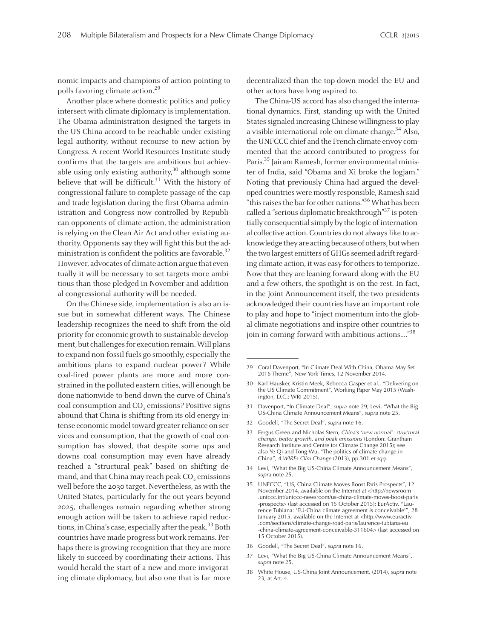nomic impacts and champions of action pointing to polls favoring climate action. 29

Another place where domestic politics and policy intersect with climate diplomacy is implementation. The Obama administration designed the targets in the US-China accord to be reachable under existing legal authority, without recourse to new action by Congress. A recent World Resources Institute study confirms that the targets are ambitious but achievable using only existing authority,<sup>30</sup> although some believe that will be difficult. <sup>31</sup> With the history of congressional failure to complete passage of the cap and trade legislation during the first Obama administration and Congress now controlled by Republican opponents of climate action, the administration is relying on the Clean Air Act and other existing authority. Opponents say they will fight this but the administration is confident the politics are favorable.<sup>32</sup> However, advocates of climate action argue that eventually it will be necessary to set targets more ambitious than those pledged in November and additional congressional authority will be needed.

On the Chinese side, implementation is also an issue but in somewhat different ways. The Chinese leadership recognizes the need to shift from the old priority for economic growth to sustainable development, but challenges for execution remain. Will plans to expand non-fossil fuels go smoothly, especially the ambitious plans to expand nuclear power? While coal-fired power plants are more and more constrained in the polluted eastern cities, will enough be done nationwide to bend down the curve of China's coal consumption and CO<sub>2</sub> emissions? Positive signs abound that China is shifting from its old energy intense economic model toward greater reliance on services and consumption, that the growth of coal consumption has slowed, that despite some ups and downs coal consumption may even have already reached <sup>a</sup> "structural peak" based on shifting demand, and that China may reach peak CO<sub>2</sub> emissions well before the 2030 target. Nevertheless, as with the United States, particularly for the out years beyond 2025, challenges remain regarding whether strong enough action will be taken to achieve rapid reductions, in China's case, especially after the peak.<sup>33</sup> Both countries have made progress but work remains. Perhaps there is growing recognition that they are more likely to succeed by coordinating their actions. This would herald the start of <sup>a</sup> new and more invigorating climate diplomacy, but also one that is far more decentralized than the top-down model the EU and other actors have long aspired to.

The China-US accord has also changed the international dynamics. First, standing up with the United States signaled increasing Chinese willingness to play <sup>a</sup> visible international role on climate change. 34 Also, the UNFCCC chief and the French climate envoy commented that the accord contributed to progress for Paris.<sup>35</sup> Jairam Ramesh, former environmental minister of India, said "Obama and Xi broke the logjam." Noting that previously China had argued the developed countries were mostly responsible, Ramesh said "this raises the bar for other nations." $36$  What has been called a "serious diplomatic breakthrough"<sup>37</sup> is potentially consequential simply by the logic of international collective action. Countries do not always like to acknowledge they are acting because of others, but when the two largest emitters of GHGs seemed adrift regarding climate action, it was easy for others to temporize. Now that they are leaning forward along with the EU and <sup>a</sup> few others, the spotlight is on the rest. In fact, in the Joint Announcement itself, the two presidents acknowledged their countries have an important role to play and hope to "inject momentum into the global climate negotiations and inspire other countries to join in coming forward with ambitious actions…." 38

- <sup>31</sup> Davenport, "In Climate Deal", *supra* note 29; Levi, "What the Big US-China Climate Announcement Means", *supra* note 25.
- <sup>32</sup> Goodell, "The Secret Deal", *supra* note 16.
- <sup>33</sup> Fergus Green and Nicholas Stern, *China's 'new normal': structural change, better growth, and peak emissions* (London: Grantham Research Institute and Centre for Climate Change 2015); see also Ye Qi and Tong Wu, "The politics of climate change in China", <sup>4</sup> *WIREs Clim Change* (2013), pp.<sup>301</sup> *et sqq*.
- <sup>34</sup> Levi, "What the Big US-China Climate Announcement Means", *supra* note 25.
- <sup>35</sup> UNFCCC, "US, China Climate Moves Boost Paris Prospects", <sup>12</sup> November 2014, available on the Internet at <http://newsroom .unfccc.int/unfccc-newsroom/us-china-climate-moves-boost-paris -prospects> (last accessed on <sup>15</sup> October 2015); EurActiv, "Laurence Tubiana: 'EU-China climate agreement is conceivable'' January 2015, available on the Internet at <http://www.euractiv .com/sections/climate-change-road-paris/laurence-tubiana-eu -china-climate-agreement-conceivable-311604> (last accessed on 15 October 2015).
- <sup>36</sup> Goodell, "The Secret Deal", *supra* note 16.
- <sup>37</sup> Levi, "What the Big US-China Climate Announcement Means", *supra* note 25.
- <sup>38</sup> White House, US-China Joint Announcement, (2014), *supra* note 23, at Art. 4.

<sup>29</sup> Coral Davenport, "In Climate Deal With China, Obama May Set 2016 Theme", New York Times, 12 November 2014.

<sup>30</sup> Karl Hausker, Kristin Meek, Rebecca Gasper et al., "Delivering on the US Climate Commitment", Working Paper May 2015 (Washington, D.C.: WRI 2015).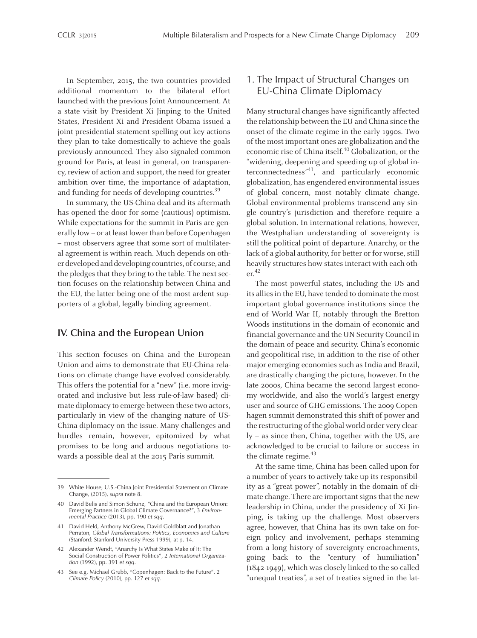In September, 2015, the two countries provided additional momentum to the bilateral effort launched with the previous Joint Announcement. At <sup>a</sup> state visit by President Xi Jinping to the United States, President Xi and President Obama issued <sup>a</sup> joint presidential statement spelling out key actions they plan to take domestically to achieve the goals previously announced. They also signaled common ground for Paris, at least in general, on transparency, review of action and support, the need for greater ambition over time, the importance of adaptation, and funding for needs of developing countries.<sup>39</sup>

In summary, the US-China deal and its aftermath has opened the door for some (cautious) optimism. While expectations for the summit in Paris are generally low – or at least lower than before Copenhagen – most observers agree that some sort of multilateral agreemen<sup>t</sup> is within reach. Much depends on otherdevelopedanddeveloping countries, of course, and the pledges that they bring to the table. The next section focuses on the relationship between China and the EU, the latter being one of the most ardent supporters of <sup>a</sup> global, legally binding agreement.

#### **IV. China and the European Union**

This section focuses on China and the European Union and aims to demonstrate that EU-China relations on climate change have evolved considerably. This offers the potential for <sup>a</sup> "new" (i.e. more invigorated and inclusive but less rule-of-law based) climate diplomacy to emerge between these two actors, particularly in view of the changing nature of US-China diplomacy on the issue. Many challenges and hurdles remain, however, epitomized by what promises to be long and arduous negotiations towards <sup>a</sup> possible deal at the 2015 Paris summit.

# 1. The Impact of Structural Changes on EU-China Climate Diplomacy

Many structural changes have significantly affected the relationship between the EU and China since the onset of the climate regime in the early 1990s. Two of themost important ones are globalization and the economic rise of China itself. 40 Globalization, or the "widening, deepening and speeding up of global interconnectedness" 41 , and particularly economic globalization, has engendered environmental issues of global concern, most notably climate change. Global environmental problems transcend any single country's jurisdiction and therefore require <sup>a</sup> global solution. In international relations, however, the Westphalian understanding of sovereignty is still the political point of departure. Anarchy, or the lack of a global authority, for better or for worse, still heavily structures how states interact with each other. 42

The most powerful states, including the US and its allies in the EU, have tended to dominate the most important global governance institutions since the end of World War II, notably through the Bretton Woods institutions in the domain of economic and financial governance and the UN Security Council in the domain of peace and security. China's economic and geopolitical rise, in addition to the rise of other major emerging economies such as India and Brazil, are drastically changing the picture, however. In the late 2000s, China became the second largest economy worldwide, and also the world's largest energy user and source of GHG emissions. The 2009 Copenhagen summit demonstrated this shift of power and the restructuring of the global world order very clearly – as since then, China, together with the US, are acknowledged to be crucial to failure or success in the climate regime. 43

At the same time, China has been called upon for <sup>a</sup> number of years to actively take up its responsibility as <sup>a</sup> "great power", notably in the domain of climate change. There are important signs that the new leadership in China, under the presidency of Xi Jinping, is taking up the challenge. Most observers agree, however, that China has its own take on foreign policy and involvement, perhaps stemming from <sup>a</sup> long history of sovereignty encroachments, going back to the "century of humiliation" (1842-1949), which was closely linked to the so-called "unequal treaties", <sup>a</sup> set of treaties signed in the lat-

<sup>39</sup> White House, U.S.-China Joint Presidential Statement on Climate Change, (2015), *supra* note 8.

<sup>40</sup> David Belis and Simon Schunz, "China and the European Union: Emerging Partners in Global Climate Governance?", <sup>3</sup> *Environmental Practice* (2013), pp. <sup>190</sup> *et sqq*.

<sup>41</sup> David Held, Anthony McGrew, David Goldblatt and Jonathan Perraton, *Global Transformations: Politics, Economics and Culture* (Stanford: Stanford University Press 1999), at p. 14.

<sup>42</sup> Alexander Wendt, "Anarchy Is What States Make of It: The Social Construction of Power Politics", <sup>2</sup> *International Organization* (1992), pp. 391 *et sqq*.

<sup>43</sup> See e.g. Michael Grubb, "Copenhagen: Back to the Future", <sup>2</sup> *Climate Policy* (2010), pp. <sup>127</sup> *et sqq*.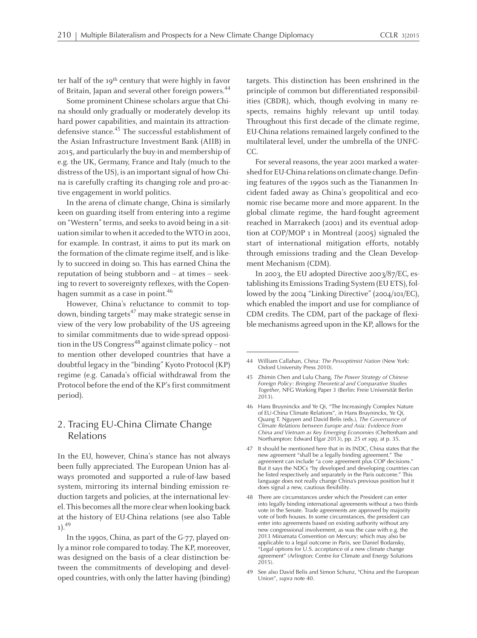ter half of the 19<sup>th</sup> century that were highly in favor of Britain, Japan and several other foreign powers.<sup>44</sup>

Some prominent Chinese scholars argue that China should only gradually or moderately develop its hard power capabilities, and maintain its attractiondefensive stance. 45 The successful establishment of the Asian Infrastructure Investment Bank (AIIB) in 2015, and particularly the buy-in and membership of e.g. the UK, Germany, France and Italy (much to the distress of the US), is an important signal of how China is carefully crafting its changing role and pro-active engagemen<sup>t</sup> in world politics.

In the arena of climate change, China is similarly keen on guarding itself from entering into <sup>a</sup> regime on "Western" terms, and seeks to avoid being in a situation similar to when it acceded to the WTO in 2001, for example. In contrast, it aims to pu<sup>t</sup> its mark on the formation of the climate regime itself, and is likely to succeed in doing so. This has earned China the reputation of being stubborn and – at times – seeking to revert to sovereignty reflexes, with the Copenhagen summit as <sup>a</sup> case in point. 46

However, China's reluctance to commit to topdown, binding targets<sup>47</sup> may make strategic sense in view of the very low probability of the US agreeing to similar commitments due to wide-spread opposition in the US Congress 48 against climate policy – not to mention other developed countries that have <sup>a</sup> doubtful legacy in the "binding" Kyoto Protocol (KP) regime (e.g. Canada's official withdrawal from the Protocol before the end of the KP's first commitment period).

# 2. Tracing EU-China Climate Change Relations

In the EU, however, China's stance has not always been fully appreciated. The European Union has always promoted and supported <sup>a</sup> rule-of-law based system, mirroring its internal binding emission reduction targets and policies, at the international level. This becomes all the more clear when looking back at the history of EU-China relations (see also Table 1). 49

In the 1990s, China, as par<sup>t</sup> of the G-77, played only a minor role compared to today. The KP, moreover, was designed on the basis of <sup>a</sup> clear distinction between the commitments of developing and developed countries, with only the latter having (binding) targets. This distinction has been enshrined in the principle of common but differentiated responsibilities (CBDR), which, though evolving in many respects, remains highly relevant up until today. Throughout this first decade of the climate regime, EU-China relations remained largely confined to the multilateral level, under the umbrella of the UNFC-CC.

For several reasons, the year 2001marked <sup>a</sup> watershed for EU-China relations on climate change. Defining features of the 1990s such as the Tiananmen Incident faded away as China's geopolitical and economic rise became more and more apparent. In the global climate regime, the hard-fought agreemen<sup>t</sup> reached in Marrakech (2001) and its eventual adoption at COP/MOP <sup>1</sup> in Montreal (2005) signaled the start of international mitigation efforts, notably through emissions trading and the Clean Development Mechanism (CDM).

In 2003, the EU adopted Directive 2003/87/EC, establishing its Emissions Trading System (EU ETS), followed by the 2004 "Linking Directive" (2004/101/EC), which enabled the import and use for compliance of CDM credits. The CDM, par<sup>t</sup> of the package of flexible mechanisms agreed upon in the KP, allows for the

<sup>44</sup> William Callahan, *China: The Pessoptimist Nation* (New York: Oxford University Press 2010).

<sup>45</sup> Zhimin Chen and Lulu Chang, *The Power Strategy of Chinese Foreign Policy: Bringing Theoretical and Comparative Studies Together*, NFG Working Paper <sup>3</sup> (Berlin: Freie Universität Berlin 2013).

<sup>46</sup> Hans Bruyninckx and Ye Qi, "The Increasingly Complex Nature of EU-China Climate Relations", in Hans Bruyninckx, Ye Qi, Quang T. Nguyen and David Belis (eds.), *The Governance of Climate Relations between Europe and Asia: Evidence from China and Vietnam as Key Emerging Economies* (Cheltenham and Northampton: Edward Elgar 2013), pp. <sup>25</sup> *et sqq*, at p. 35.

<sup>47</sup> It should be mentioned here that in its INDC, China states that the new agreemen<sup>t</sup> "shall be <sup>a</sup> legally binding agreement." The agreemen<sup>t</sup> can include "a core agreemen<sup>t</sup> plus COP decisions." But it says the NDCs "by developed and developing countries can be listed respectively and separately in the Paris outcome." This language does not really change China's previous position but it does signal <sup>a</sup> new, cautious flexibility.

<sup>48</sup> There are circumstances under which the President can enter into legally binding international agreements without <sup>a</sup> two thirds vote in the Senate. Trade agreements are approved by majority vote of both houses. In some circumstances, the president can enter into agreements based on existing authority without any new congressional involvement, as was the case with e.g. the <sup>2013</sup> Minamata Convention on Mercury; which may also be applicable to <sup>a</sup> legal outcome in Paris, see Daniel Bodansky, "Legal options for U.S. acceptance of <sup>a</sup> new climate change agreement" (Arlington: Centre for Climate and Energy Solutions 2015).

<sup>49</sup> See also David Belis and Simon Schunz, "China and the European Union", *supra* note 40.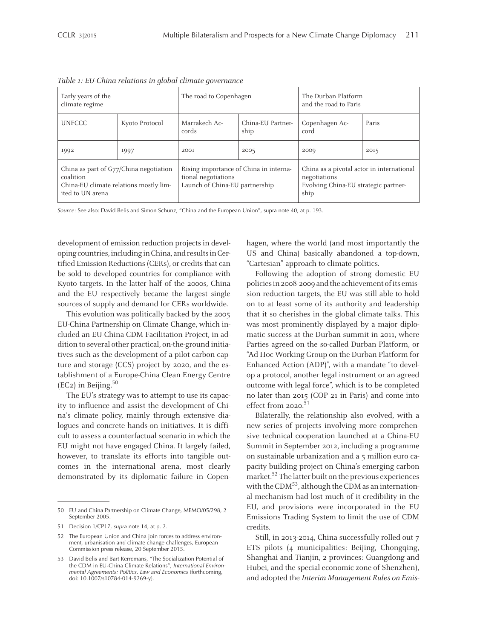| Early years of the<br>climate regime                                                                              |                | The road to Copenhagen                                                                          |                           | The Durban Platform<br>and the road to Paris                                                              |       |
|-------------------------------------------------------------------------------------------------------------------|----------------|-------------------------------------------------------------------------------------------------|---------------------------|-----------------------------------------------------------------------------------------------------------|-------|
| <b>UNFCCC</b>                                                                                                     | Kyoto Protocol | Marrakech Ac-<br>cords                                                                          | China-EU Partner-<br>ship | Copenhagen Ac-<br>cord                                                                                    | Paris |
| 1992                                                                                                              | 1997           | 2001                                                                                            | 2005                      | 2009                                                                                                      | 2015  |
| China as part of G77/China negotiation<br>coalition<br>China-EU climate relations mostly lim-<br>ited to UN arena |                | Rising importance of China in interna-<br>tional negotiations<br>Launch of China-EU partnership |                           | China as a pivotal actor in international<br>negotiations<br>Evolving China-EU strategic partner-<br>ship |       |

Table 1: EU-China relations in global climate governance

*Source:* See also: David Belis and Simon Schunz, "China and the European Union", supra note 40, at p. 193.

development of emission reduction projects in developing countries,including inChina, andresultsinCertified Emission Reductions (CERs), or credits that can be sold to developed countries for compliance with Kyoto targets. In the latter half of the 2000s, China and the EU respectively became the largest single sources of supply and demand for CERs worldwide.

This evolution was politically backed by the 2005 EU-China Partnership on Climate Change, which included an EU-China CDM Facilitation Project, in addition to several other practical, on-the-ground initiatives such as the development of <sup>a</sup> pilot carbon capture and storage (CCS) project by 2020, and the establishment of <sup>a</sup> Europe-China Clean Energy Centre (EC2) in Beijing. 50

The EU's strategy was to attempt to use its capacity to influence and assist the development of China's climate policy, mainly through extensive dialogues and concrete hands-on initiatives. It is difficult to assess <sup>a</sup> counterfactual scenario in which the EU might not have engaged China. It largely failed, however, to translate its efforts into tangible outcomes in the international arena, most clearly demonstrated by its diplomatic failure in Copenhagen, where the world (and most importantly the US and China) basically abandoned <sup>a</sup> top-down, "Cartesian" approach to climate politics.

Following the adoption of strong domestic EU policies in 2008-2009 and the achievement of its emission reduction targets, the EU was still able to hold on to at least some of its authority and leadership that it so cherishes in the global climate talks. This was most prominently displayed by <sup>a</sup> major diplomatic success at the Durban summit in 2011, where Parties agreed on the so-called Durban Platform, or "Ad Hoc Working Group on the Durban Platformfor Enhanced Action (ADP)", with <sup>a</sup> mandate "to develop <sup>a</sup> protocol, another legal instrument or an agreed outcome with legal force", which is to be completed no later than 2015 (COP <sup>21</sup> in Paris) and come into effect from 2020.<sup>51</sup>

Bilaterally, the relationship also evolved, with <sup>a</sup> new series of projects involving more comprehensive technical cooperation launched at <sup>a</sup> China-EU Summit in September 2012, including <sup>a</sup> programme on sustainable urbanization and <sup>a</sup> 5 million euro capacity building project on China's emerging carbon market. 52 The latter built on the previous experiences with the CDM<sup>53</sup>, although the CDM as an international mechanism had lost much of it credibility in the EU, and provisions were incorporated in the EU Emissions Trading System to limit the use of CDM credits.

Still, in 2013-2014, China successfully rolled out <sup>7</sup> ETS pilots (4 municipalities: Beijing, Chongqing, Shanghai and Tianjin, <sup>2</sup> provinces: Guangdong and Hubei, and the special economic zone of Shenzhen), and adopted the Interim Management Rules on Emis-

<sup>50</sup> EU and China Partnership on Climate Change, MEMO/05/298, <sup>2</sup> September 2005.

<sup>51</sup> Decision 1/CP17, *supra* note 14, at p. 2.

<sup>52</sup> The European Union and China join forces to address environment, urbanisation and climate change challenges, European Commission press release, <sup>20</sup> September 2015.

<sup>53</sup> David Belis and Bart Kerremans, "The Socialization Potential of the CDM in EU-China Climate Relations", *International Environmental Agreements: Politics, Law and Economics* (forthcoming, doi: 10.1007/s10784-014-9269-y).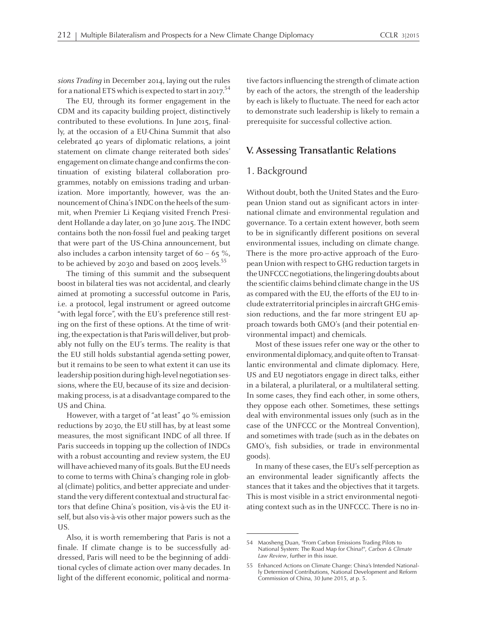sions Trading in December 2014, laying out the rules for a national ETS which is expected to start in 2017.<sup>54</sup>

The EU, through its former engagemen<sup>t</sup> in the CDM and its capacity building project, distinctively contributed to these evolutions. In June 2015, finally, at the occasion of <sup>a</sup> EU-China Summit that also celebrated 40 years of diplomatic relations, <sup>a</sup> joint statement on climate change reiterated both sides' engagement on climate change and confirms the continuation of existing bilateral collaboration programmes, notably on emissions trading and urbanization. More importantly, however, was the announcement of China's INDC on the heels of the summit, when Premier Li Keqiang visited French President Hollande <sup>a</sup> day later, on 30 June 2015. The INDC contains both the non-fossil fuel and peaking target that were par<sup>t</sup> of the US-China announcement, but also includes a carbon intensity target of 60 – 65 %, to be achieved by 2030 and based on 2005 levels. 55

The timing of this summit and the subsequent boost in bilateral ties was not accidental, and clearly aimed at promoting <sup>a</sup> successful outcome in Paris, i.e. <sup>a</sup> protocol, legal instrument or agreed outcome "with legal force", with the EU's preference still resting on the first of these options. At the time of writing, the expectation is that Paris will deliver, but probably not fully on the EU's terms. The reality is that the EU still holds substantial agenda-setting power, but it remains to be seen to what extent it can use its leadership position during high-level negotiation sessions, where the EU, because of its size and decisionmaking process, is at a disadvantage compared to the US and China.

However, with <sup>a</sup> target of "at least" 40 % emission reductions by 2030, the EU still has, by at least some measures, the most significant INDC of all three. If Paris succeeds in topping up the collection of INDCs with <sup>a</sup> robust accounting and review system, the EU will have achieved many of its goals. But the EU needs to come to terms with China's changing role in global (climate) politics, and better appreciate and understand the very different contextual and structural factors that define China's position, vis-à-vis the EU itself, but also vis-à-vis other major powers such as the US.

Also, it is worth remembering that Paris is not <sup>a</sup> finale. If climate change is to be successfully addressed, Paris will need to be the beginning of additional cycles of climate action over many decades. In light of the different economic, political and normative factors influencing the strength of climate action by each of the actors, the strength of the leadership by each is likely to fluctuate. The need for each actor to demonstrate such leadership is likely to remain <sup>a</sup> prerequisite for successful collective action.

#### **V. Assessing Transatlantic Relations**

#### 1. Background

Without doubt, both the United States and the European Union stand out as significant actors in international climate and environmental regulation and governance. To <sup>a</sup> certain extent however, both seem to be in significantly different positions on several environmental issues, including on climate change. There is the more pro-active approach of the European Union with respect to GHG reduction targets in the UNFCCC negotiations, the lingering doubts about the scientific claims behind climate change in the US as compared with the EU, the efforts of the EU to include extraterritorial principlesin aircraftGHGemission reductions, and the far more stringent EU approach towards both GMO's (and their potential environmental impact) and chemicals.

Most of these issues refer one way or the other to environmental diplomacy, and quite often to Transatlantic environmental and climate diplomacy. Here, US and EU negotiators engage in direct talks, either in <sup>a</sup> bilateral, <sup>a</sup> plurilateral, or <sup>a</sup> multilateral setting. In some cases, they find each other, in some others, they oppose each other. Sometimes, these settings deal with environmental issues only (such as in the case of the UNFCCC or the Montreal Convention), and sometimes with trade (such as in the debates on GMO's, fish subsidies, or trade in environmental goods).

In many of these cases, the EU's self-perception as an environmental leader significantly affects the stances that it takes and the objectives that it targets. This is most visible in <sup>a</sup> strict environmental negotiating context such as in the UNFCCC. There is no in-

<sup>54</sup> Maosheng Duan, "From Carbon Emissions Trading Pilots to National System: The Road Map for China?", *Carbon & Climate Law Review*, further in this issue.

<sup>55</sup> Enhanced Actions on Climate Change: China's Intended Nationally Determined Contributions, National Development and Reform Commission of China, <sup>30</sup> June 2015, at p. 5.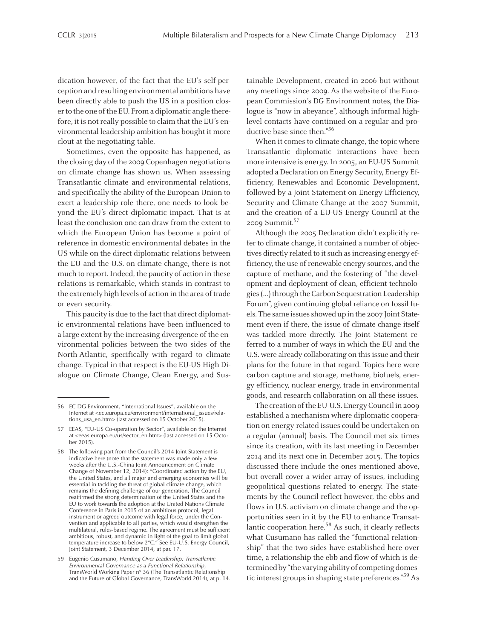dication however, of the fact that the EU's self-perception and resulting environmental ambitions have been directly able to push the US in <sup>a</sup> position closer to the one of the EU. From a diplomatic angle therefore, it is not really possible to claim that the EU's environmental leadership ambition has bought it more clout at the negotiating table.

Sometimes, even the opposite has happened, as the closing day of the 2009 Copenhagen negotiations on climate change has shown us. When assessing Transatlantic climate and environmental relations, and specifically the ability of the European Union to exert <sup>a</sup> leadership role there, one needs to look beyond the EU's direct diplomatic impact. That is at least the conclusion one can draw from the extent to which the European Union has become <sup>a</sup> point of reference in domestic environmental debates in the US while on the direct diplomatic relations between the EU and the U.S. on climate change, there is not much to report. Indeed, the paucity of action in these relations is remarkable, which stands in contrast to the extremely high levels of action in the area of trade or even security.

This paucity is due to the fact that direct diplomatic environmental relations have been influenced to <sup>a</sup> large extent by the increasing divergence of the environmental policies between the two sides of the North-Atlantic, specifically with regard to climate change. Typical in that respect is the EU-US High Dialogue on Climate Change, Clean Energy, and Sustainable Development, created in 2006 but without anymeetings since 2009. As the website of the European Commission's DG Environment notes, the Dialogue is "now in abeyance", although informal highlevel contacts have continued on <sup>a</sup> regular and productive base since then." 56

When it comes to climate change, the topic where Transatlantic diplomatic interactions have been more intensive is energy. In 2005, an EU-US Summit adopted <sup>a</sup> Declaration on Energy Security, Energy Efficiency, Renewables and Economic Development, followed by a Joint Statement on Energy Efficiency, Security and Climate Change at the 2007 Summit, and the creation of <sup>a</sup> EU-US Energy Council at the 2009 Summit. 57

Although the 2005 Declaration didn't explicitly refer to climate change, it contained <sup>a</sup> number of objectives directly related to it such as increasing energy efficiency, the use of renewable energy sources, and the capture of methane, and the fostering of "the developmen<sup>t</sup> and deployment of clean, efficient technologies (...) through the Carbon Sequestration Leadership Forum", given continuing global reliance on fossil fuels. The same issues showed up in the 2007 Joint Statement even if there, the issue of climate change itself was tackled more directly. The Joint Statement referred to <sup>a</sup> number of ways in which the EU and the U.S. were already collaborating on this issue and their plans for the future in that regard. Topics here were carbon capture and storage, methane, biofuels, energy efficiency, nuclear energy, trade in environmental goods, and research collaboration on all these issues.

The creation of the EU-U.S. Energy Council in 2009 established amechanismwhere diplomatic cooperation on energy-related issues could be undertaken on <sup>a</sup> regular (annual) basis. The Council met six times since its creation, with its last meeting in December 2014 and its next one in December 2015. The topics discussed there include the ones mentioned above, but overall cover <sup>a</sup> wider array of issues, including geopolitical questions related to energy. The statements by the Council reflect however, the ebbs and flows in U.S. activism on climate change and the opportunities seen in it by the EU to enhance Transatlantic cooperation here.<sup>58</sup> As such, it clearly reflects what Cusumano has called the "functional relationship" that the two sides have established here over time, <sup>a</sup> relationship the ebb and flow of which is determined by "the varying ability of competing domestic interest groups in shaping state preferences.<sup>"59</sup> As

<sup>56</sup> EC DG Environment, "International Issues", available on the Internet at <ec.europa.eu/environment/international\_issues/relations\_usa\_en.htm> (last accessed on 15 October 2015).

<sup>57</sup> EEAS, "EU-US Co-operation by Sector", available on the Internet at <eeas.europa.eu/us/sector\_en.htm> (last accessed on <sup>15</sup> October 2015).

<sup>58</sup> The following par<sup>t</sup> from the Council's <sup>2014</sup> Joint Statement is indicative here (note that the statement was made only <sup>a</sup> few weeks after the U.S.-China Joint Announcement on Climate Change of November 12, 2014): "Coordinated action by the EU, the United States, and all major and emerging economies will be essential in tackling the threat of global climate change, which remains the defining challenge of our generation. The Council reaffirmed the strong determination of the United States and the EU to work towards the adoption at the United Nations Climate Conference in Paris in 2015 of an ambitious protocol, legal instrument or agreed outcome with legal force, under the Convention and applicable to all parties, which would strengthen the multilateral, rules-based regime. The agreemen<sup>t</sup> must be sufficient ambitious, robust, and dynamic in light of the goal to limit global temperature increase to below 2°C." See EU-U.S. Energy Council, Joint Statement, <sup>3</sup> December 2014, at par. 17.

<sup>59</sup> Eugenio Cusumano, *Handing Over Leadership: Transatlantic Environmental Governance as <sup>a</sup> Functional Relationship*, TransWorld Working Paper <sup>n</sup>° <sup>36</sup> (The Transatlantic Relationship and the Future of Global Governance, TransWorld 2014), at p. 14.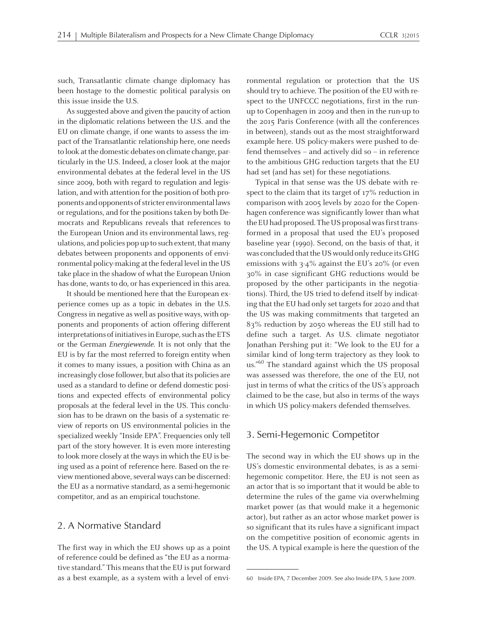such, Transatlantic climate change diplomacy has been hostage to the domestic political paralysis on this issue inside the U.S.

As suggested above and given the paucity of action in the diplomatic relations between the U.S. and the EU on climate change, if one wants to assess the impac<sup>t</sup> of the Transatlantic relationship here, one needs to look at the domestic debates on climate change, particularly in the U.S. Indeed, <sup>a</sup> closer look at the major environmental debates at the federal level in the US since 2009, both with regard to regulation and legislation, and with attention for the position of both proponents and opponents of stricter environmental laws or regulations, and for the positions taken by both Democrats and Republicans reveals that references to the European Union and its environmental laws, regulations, and policies pop up to such extent, that many debates between proponents and opponents of environmental policy-making at the federal level in the US take place in the shadow of what the European Union has done, wants to do, or has experienced in this area.

It should be mentioned here that the European experience comes up as <sup>a</sup> topic in debates in the U.S. Congressin negative as well as positive ways, with opponents and proponents of action offering different interpretations of initiatives in Europe, such as the ETS or the German Energiewende. It is not only that the EU is by far the most referred to foreign entity when it comes to many issues, <sup>a</sup> position with China as an increasingly close follower, but also that its policies are used as <sup>a</sup> standard to define or defend domestic positions and expected effects of environmental policy proposals at the federal level in the US. This conclusion has to be drawn on the basis of <sup>a</sup> systematic review of reports on US environmental policies in the specialized weekly "Inside EPA". Frequencies only tell par<sup>t</sup> of the story however. It is even more interesting to look more closely at the ways in which the EU is being used as <sup>a</sup> point of reference here. Based on the review mentioned above, several ways can be discerned: the EU as <sup>a</sup> normative standard, as <sup>a</sup> semi-hegemonic competitor, and as an empirical touchstone.

#### 2. A Normative Standard

The first way in which the EU shows up as <sup>a</sup> point of reference could be defined as "the EU as <sup>a</sup> normative standard." This means that the EU is put forward as <sup>a</sup> best example, as <sup>a</sup> system with <sup>a</sup> level of environmental regulation or protection that the US should try to achieve. The position of the EU with respec<sup>t</sup> to the UNFCCC negotiations, first in the runup to Copenhagen in 2009 and then in the run-up to the 2015 Paris Conference (with all the conferences in between), stands out as the most straightforward example here. US policy-makers were pushed to defend themselves – and actively did so – in reference to the ambitious GHG reduction targets that the EU had set (and has set) for these negotiations.

Typical in that sense was the US debate with respec<sup>t</sup> to the claim that its target of <sup>17</sup>% reduction in comparison with 2005 levels by <sup>2020</sup> for the Copenhagen conference was significantly lower than what the EU had proposed. The US proposal was first transformed in <sup>a</sup> proposal that used the EU's proposed baseline year (1990). Second, on the basis of that, it was concluded that the US would only reduce its GHG emissions with 3-4% against the EU's 20% (or even 30% in case significant GHG reductions would be proposed by the other participants in the negotiations). Third, the US tried to defend itself by indicating that the EU had only set targets for 2020 and that the US was making commitments that targeted an 83% reduction by 2050 whereas the EU still had to define such <sup>a</sup> target. As U.S. climate negotiator Jonathan Pershing pu<sup>t</sup> it: "We look to the EU for <sup>a</sup> similar kind of long-term trajectory as they look to us."<sup>60</sup> The standard against which the US proposal was assessed was therefore, the one of the EU, not just in terms of what the critics of the US's approach claimed to be the case, but also in terms of the ways in which US policy-makers defended themselves.

#### 3. Semi-Hegemonic Competitor

The second way in which the EU shows up in the US's domestic environmental debates, is as <sup>a</sup> semihegemonic competitor. Here, the EU is not seen as an actor that is so important that it would be able to determine the rules of the game via overwhelming market power (as that would make it <sup>a</sup> hegemonic actor), but rather as an actor whose market power is so significant that its rules have <sup>a</sup> significant impact on the competitive position of economic agents in the US. <sup>A</sup> typical example is here the question of the

<sup>60</sup> Inside EPA, 7 December 2009. See also Inside EPA, 5 June 2009.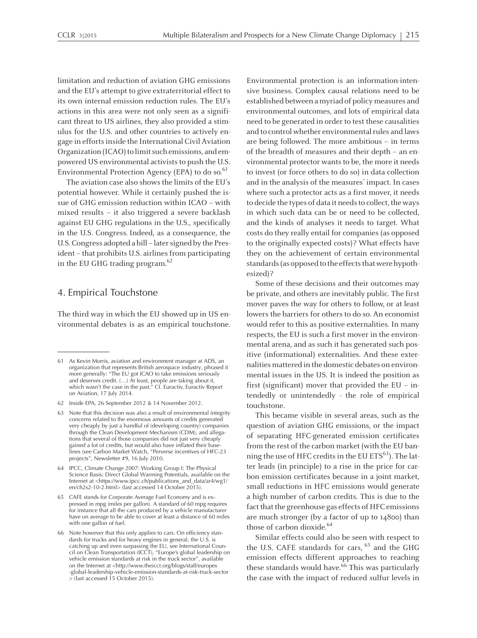limitation and reduction of aviation GHG emissions and the EU's attempt to give extraterritorial effect to its own internal emission reduction rules. The EU's actions in this area were not only seen as <sup>a</sup> significant threat to US airlines, they also provided <sup>a</sup> stimulus for the U.S. and other countries to actively engage in efforts inside the International Civil Aviation Organization (ICAO) to limit such emissions, and empowered US environmental activists to push the U.S. Environmental Protection Agency (EPA) to do so.<sup>61</sup>

The aviation case also shows the limits of the EU's potential however. While it certainly pushed the issue of GHG emission reduction within ICAO – with mixed results – it also triggered <sup>a</sup> severe backlash against EU GHG regulations in the U.S., specifically in the U.S. Congress. Indeed, as <sup>a</sup> consequence, the U.S. Congress adopted a bill – later signed by the President - that prohibits U.S. airlines from participating in the EU GHG trading program. 62

#### 4. Empirical Touchstone

The third way in which the EU showed up in US environmental debates is as an empirical touchstone. Environmental protection is an information-intensive business. Complex causal relations need to be established between amyriad of policymeasures and environmental outcomes, and lots of empirical data need to be generated in order to test these causalities and to control whether environmental rules and laws are being followed. The more ambitious – in terms of the breadth of measures and their depth – an environmental protector wants to be, the more it needs to invest (or force others to do so) in data collection and in the analysis of the measures' impact. In cases where such <sup>a</sup> protector acts as <sup>a</sup> first mover, it needs to decide the types of data it needs to collect, the ways in which such data can be or need to be collected, and the kinds of analyses it needs to target. What costs do they really entail for companies (as opposed to the originally expected costs)? What effects have they on the achievement of certain environmental standards (as opposed to the effects that were hypothesized)?

Some of these decisions and their outcomes may be private, and others are inevitably public. The first mover paves the way for others to follow, or at least lowers the barriers for others to do so. An economist would refer to this as positive externalities. In many respects, the EU is such <sup>a</sup> first mover in the environmental arena, and as such it has generated such positive (informational) externalities. And these externalities mattered in the domestic debates on environmental issues in the US. It is indeed the position as first (significant) mover that provided the EU – intendedly or unintendedly - the role of empirical touchstone.

This became visible in several areas, such as the question of aviation GHG emissions, or the impact of separating HFC-generated emission certificates from the rest of the carbon market (with the EU banning the use of HFC credits in the EU ETS $^{\rm 63}$ ). The latter leads (in principle) to <sup>a</sup> rise in the price for carbon emission certificates because in <sup>a</sup> joint market, small reductions in HFC emissions would generate <sup>a</sup> high number of carbon credits. This is due to the fact that the greenhouse gas effects of HFC emissions are much stronger (by <sup>a</sup> factor of up to 14800) than those of carbon dioxide. 64

Similar effects could also be seen with respec<sup>t</sup> to the U.S. CAFE standards for cars, 65 and the GHG emission effects different approaches to reaching these standards would have. 66 This was particularly the case with the impact of reduced sulfur levels in

<sup>61</sup> As Kevin Morris, aviation and environment manager at ADS, an organization that represents British aerospace industry, phrased it more generally: "The EU go<sup>t</sup> ICAO to take emissions seriously and deserves credit. (…) At least, people are taking about it, which wasn't the case in the past." Cf. Euractiv, Euractiv Report on Aviation, <sup>17</sup> July 2014.

<sup>62</sup> Inside EPA, <sup>26</sup> September <sup>2012</sup> & <sup>14</sup> November 2012.

<sup>63</sup> Note that this decision was also <sup>a</sup> result of environmental integrity concerns related to the enormous amounts of credits generated very cheaply by just <sup>a</sup> handful of (developing country) companies through the Clean Development Mechanism (CDM), and allegations that several of those companies did not just very cheaply gained <sup>a</sup> lot of credits, but would also have inflated their baselines (see Carbon Market Watch, "Perverse incentives of HFC-23 projects", Newsletter #9, <sup>16</sup> July 2010.

<sup>64</sup> IPCC, Climate Change 2007: Working Group I: The Physical Science Basis: Direct Global Warming Potentials, available on the Internet at <https://www.ipcc.ch/publications\_and\_data/ar4/wg1/ en/ch2s2-10-2.html> (last accessed 14 October 2015).

<sup>65</sup> CAFE stands for Corporate Average Fuel Economy and is expressed in mpg (miles per gallon). <sup>A</sup> standard of <sup>60</sup> mpg requires for instance that all the cars produced by <sup>a</sup> vehicle manufacturer have on average to be able to cover at least <sup>a</sup> distance of <sup>60</sup> miles with one gallon of fuel.

<sup>66</sup> Note however that this only applies to cars. On efficiency standards for trucks and for heavy engines in general, the U.S. is catching up and even surpassing the EU, see International Council on Clean Transportation (ICCT), "Europe's global leadership on vehicle emission standards at risk in the truck sector", available on the Internet at <http://www.theicct.org/blogs/staff/europes -global-leadership-vehicle-emission-standards-at-risk-truck-sector <sup>&</sup>gt; (last accessed 15 October 2015).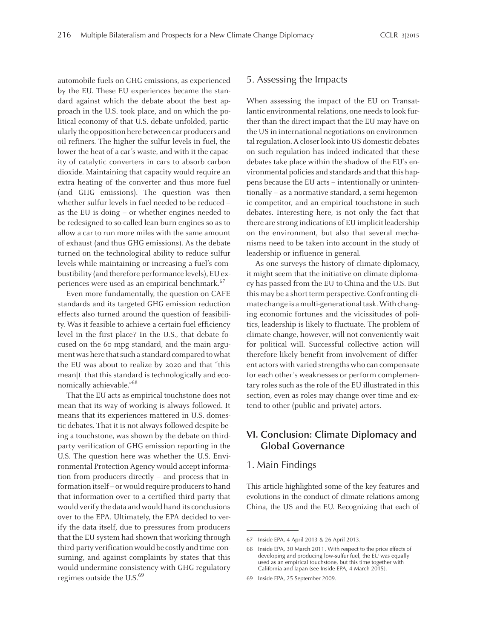automobile fuels on GHG emissions, as experienced by the EU. These EU experiences became the standard against which the debate about the best approach in the U.S. took place, and on which the political economy of that U.S. debate unfolded, particularly the opposition here between car producers and oil refiners. The higher the sulfur levels in fuel, the lower the heat of <sup>a</sup> car's waste, and with it the capacity of catalytic converters in cars to absorb carbon dioxide. Maintaining that capacity would require an extra heating of the converter and thus more fuel (and GHG emissions). The question was then whether sulfur levels in fuel needed to be reduced – as the EU is doing – or whether engines needed to be redesigned to so-called lean burn engines so as to allow <sup>a</sup> car to run more miles with the same amount of exhaust (and thus GHG emissions). As the debate turned on the technological ability to reduce sulfur levels while maintaining or increasing <sup>a</sup> fuel's combustibility (and therefore performance levels), EU experiences were used as an empirical benchmark.<sup>67</sup>

Even more fundamentally, the question on CAFE standards and its targeted GHG emission reduction effects also turned around the question of feasibility. Was it feasible to achieve <sup>a</sup> certain fuel efficiency level in the first place? In the U.S., that debate focused on the <sup>60</sup> mpg standard, and the main argument was here that such a standard compared to what the EU was about to realize by <sup>2020</sup> and that "this mean[t] that this standard is technologically and economically achievable."<sup>68</sup>

That the EU acts as empirical touchstone does not mean that its way of working is always followed. It means that its experiences mattered in U.S. domestic debates. That it is not always followed despite being <sup>a</sup> touchstone, was shown by the debate on thirdparty verification of GHG emission reporting in the U.S. The question here was whether the U.S. Environmental Protection Agency would accep<sup>t</sup> information from producers directly – and process that information itself - or would require producers to hand that information over to <sup>a</sup> certified third party that would verify the data and would hand its conclusions over to the EPA. Ultimately, the EPA decided to verify the data itself, due to pressures from producers that the EU systemhad shown that working through third-party verificationwould be costly and time-consuming, and against complaints by states that this would undermine consistency with GHG regulatory regimes outside the U.S. 69

#### 5. Assessing the Impacts

When assessing the impact of the EU on Transatlantic environmental relations, one needs to look further than the direct impact that the EU may have on the US in international negotiations on environmental regulation. A closer look into US domestic debates on such regulation has indeed indicated that these debates take place within the shadow of the EU's environmental policies and standards and that this happens because the EU acts – intentionally or unintentionally – as <sup>a</sup> normative standard, <sup>a</sup> semi-hegemonic competitor, and an empirical touchstone in such debates. Interesting here, is not only the fact that there are strong indications of EU implicit leadership on the environment, but also that several mechanisms need to be taken into account in the study of leadership or influence in general.

As one surveys the history of climate diplomacy, it might seem that the initiative on climate diplomacy has passed from the EU to China and the U.S. But this may be a short term perspective. Confronting climate change is a multi-generational task. With changing economic fortunes and the vicissitudes of politics, leadership is likely to fluctuate. The problem of climate change, however, will not conveniently wait for political will. Successful collective action will therefore likely benefit from involvement of different actors with varied strengths who can compensate for each other's weaknesses or perform complementary roles such as the role of the EU illustrated in this section, even as roles may change over time and extend to other (public and private) actors.

# **VI. Conclusion: Climate Diplomacy and Global Governance**

#### 1. Main Findings

This article highlighted some of the key features and evolutions in the conduct of climate relations among China, the US and the EU. Recognizing that each of

<sup>69</sup> Inside EPA, <sup>25</sup> September 2009.

<sup>67</sup> Inside EPA, <sup>4</sup> April <sup>2013</sup> & <sup>26</sup> April 2013.

<sup>68</sup> Inside EPA, <sup>30</sup> March 2011. With respec<sup>t</sup> to the price effects of developing and producing low-sulfur fuel, the EU was equally used as an empirical touchstone, but this time together with California and Japan (see Inside EPA, <sup>4</sup> March 2015).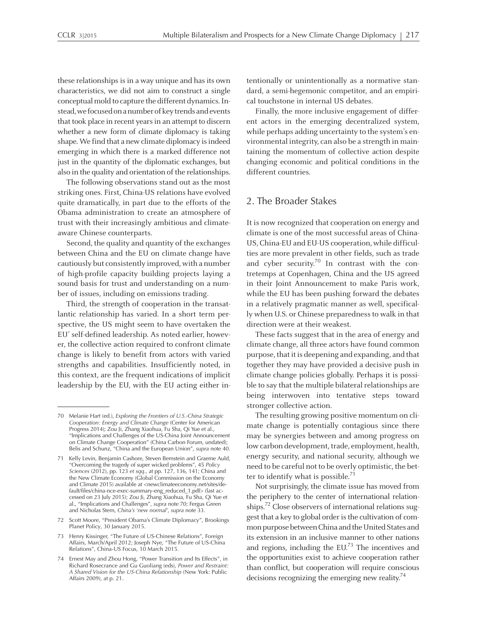these relationships is in a way unique and has its own characteristics, we did not aim to construct <sup>a</sup> single conceptual mold to capture the different dynamics. Instead,we focusedonanumberofkeytrendsandevents that took place in recent years in an attempt to discern whether a new form of climate diplomacy is taking shape. We find that a new climate diplomacy is indeed emerging in which there is <sup>a</sup> marked difference not just in the quantity of the diplomatic exchanges, but also in the quality and orientation of the relationships.

The following observations stand out as the most striking ones. First, China-US relations have evolved quite dramatically, in par<sup>t</sup> due to the efforts of the Obama administration to create an atmosphere of trust with their increasingly ambitious and climateaware Chinese counterparts.

Second, the quality and quantity of the exchanges between China and the EU on climate change have cautiously but consistently improved, with <sup>a</sup> number of high-profile capacity building projects laying <sup>a</sup> sound basis for trust and understanding on <sup>a</sup> number of issues, including on emissions trading.

Third, the strength of cooperation in the transatlantic relationship has varied. In <sup>a</sup> short term perspective, the US might seem to have overtaken the EU' self-defined leadership. As noted earlier, however, the collective action required to confront climate change is likely to benefit from actors with varied strengths and capabilities. Insufficiently noted, in this context, are the frequent indications of implicit leadership by the EU, with the EU acting either intentionally or unintentionally as <sup>a</sup> normative standard, <sup>a</sup> semi-hegemonic competitor, and an empirical touchstone in internal US debates.

Finally, the more inclusive engagemen<sup>t</sup> of different actors in the emerging decentralized system, while perhaps adding uncertainty to the system's environmental integrity, can also be a strength in maintaining the momentum of collective action despite changing economic and political conditions in the different countries.

## 2. The Broader Stakes

It is now recognized that cooperation on energy and climate is one of the most successful areas of China-US, China-EU and EU-US cooperation, while difficulties are more prevalent in other fields, such as trade and cyber security.<sup>70</sup> In contrast with the contretemps at Copenhagen, China and the US agreed in their Joint Announcement to make Paris work, while the EU has been pushing forward the debates in <sup>a</sup> relatively pragmatic manner as well, specifically when U.S. or Chinese preparedness to walk in that direction were at their weakest.

These facts sugges<sup>t</sup> that in the area of energy and climate change, all three actors have found common purpose, that it is deepening and expanding, and that together they may have provided <sup>a</sup> decisive push in climate change policies globally. Perhaps it is possible to say that the multiple bilateral relationships are being interwoven into tentative steps toward stronger collective action.

The resulting growing positive momentum on climate change is potentially contagious since there may be synergies between and among progress on low carbon development, trade, employment, health, energy security, and national security, although we need to be careful not to be overly optimistic, the better to identify what is possible.<sup>71</sup>

Not surprisingly, the climate issue has moved from the periphery to the center of international relationships.<sup>72</sup> Close observers of international relations suggest that a key to global order is the cultivation of common purpose between China and the United States and its extension in an inclusive manner to other nations and regions, including the EU.<sup>73</sup> The incentives and the opportunities exist to achieve cooperation rather than conflict, but cooperation will require conscious decisions recognizing the emerging new reality.<sup>74</sup>

<sup>70</sup> Melanie Hart (ed.), *Exploring the Frontiers of U.S.-China Strategic Cooperation: Energy and Climate Change* (Center for American Progress 2014); Zou Ji, Zhang Xiaohua, Fu Sha, Qi Yue et al., "Implications and Challenges of the US-China Joint Announcement on Climate Change Cooperation" (China Carbon Forum, undated); Belis and Schunz, "China and the European Union", *supra* note 40.

<sup>71</sup> Kelly Levin, Benjamin Cashore, Steven Bernstein and Graeme Auld, "Overcoming the tragedy of super wicked problems", <sup>45</sup> *Policy Sciences* (2012), pp. <sup>123</sup> *et sqq.,* at pp. 127, 136, 141; China and the New Climate Economy (Global Commission on the Economy and Climate 2015) available at <newclimateeconomy.net/sites/default/files/china-nce-exec-summary-eng\_reduced\_1.pdf> (last accessed on <sup>23</sup> July 2015); Zou Ji, Zhang Xiaohua, Fu Sha, Qi Yue et al., "Implications and Challenges", *supra* note 70; Fergus Green and Nicholas Stern, *China's 'new normal'*, *supra* note 33.

<sup>72</sup> Scott Moore, "President Obama's Climate Diplomacy", Brookings Planet Policy, <sup>30</sup> January 2015.

<sup>73</sup> Henry Kissinger, "The Future of US-Chinese Relations", Foreign Affairs, March/April 2012; Joseph Nye, "The Future of US-China Relations", China-US Focus, 10 March 2015.

<sup>74</sup> Ernest May and Zhou Hong, "Power Transition and Its Effects", in Richard Rosecrance and Gu Guoliang (eds), *Power and Restraint: <sup>A</sup> Shared Vision for the US-China Relationship* (New York: Public Affairs 2009), at p. 21.